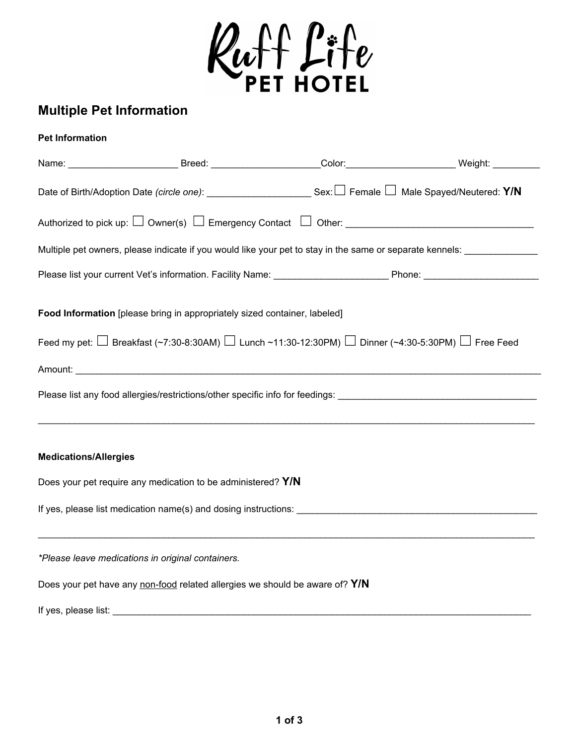

## **Multiple Pet Information**

## **Pet Information**

|                              | Name: ______________________________Breed: _______________________Color:____________________________Weight: ____________  |  |
|------------------------------|---------------------------------------------------------------------------------------------------------------------------|--|
|                              | Date of Birth/Adoption Date (circle one): ____________________________Sex: $\Box$ Female $\Box$ Male Spayed/Neutered: Y/N |  |
|                              |                                                                                                                           |  |
|                              | Multiple pet owners, please indicate if you would like your pet to stay in the same or separate kennels:                  |  |
|                              |                                                                                                                           |  |
|                              | Food Information [please bring in appropriately sized container, labeled]                                                 |  |
|                              | Feed my pet: $\Box$ Breakfast (~7:30-8:30AM) $\Box$ Lunch ~11:30-12:30PM) $\Box$ Dinner (~4:30-5:30PM) $\Box$ Free Feed   |  |
|                              |                                                                                                                           |  |
|                              |                                                                                                                           |  |
| <b>Medications/Allergies</b> |                                                                                                                           |  |
|                              | Does your pet require any medication to be administered? Y/N                                                              |  |
|                              |                                                                                                                           |  |
|                              | *Please leave medications in original containers.                                                                         |  |
|                              | Does your pet have any non-food related allergies we should be aware of? Y/N                                              |  |
| If yes, please list:         |                                                                                                                           |  |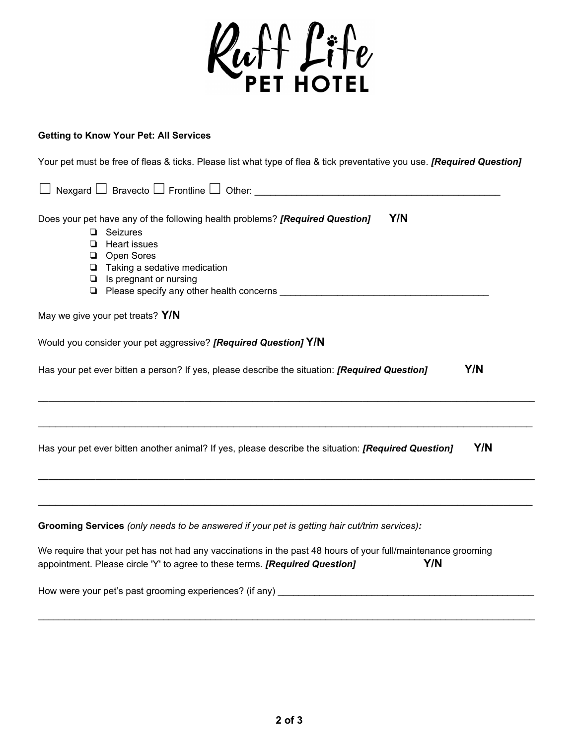

## **Getting to Know Your Pet: All Services**

Your pet must be free of fleas & ticks. Please list what type of flea & tick preventative you use. *[Required Question]*

| Nexgard $\Box$ Bravecto $\Box$ Frontline $\Box$ Other:                                                                                                                                                                    |
|---------------------------------------------------------------------------------------------------------------------------------------------------------------------------------------------------------------------------|
| Y/N<br>Does your pet have any of the following health problems? [Required Question]<br>$\Box$ Seizures<br><b>Heart issues</b><br>❏<br>Open Sores<br>❏<br>Taking a sedative medication<br>▫<br>Is pregnant or nursing<br>❏ |
| May we give your pet treats? Y/N                                                                                                                                                                                          |
| Would you consider your pet aggressive? [Required Question] Y/N                                                                                                                                                           |
| Y/N<br>Has your pet ever bitten a person? If yes, please describe the situation: <i>[Required Question]</i>                                                                                                               |
| Y/N<br>Has your pet ever bitten another animal? If yes, please describe the situation: [Required Question]                                                                                                                |
|                                                                                                                                                                                                                           |
| Grooming Services (only needs to be answered if your pet is getting hair cut/trim services):                                                                                                                              |
| We require that your pet has not had any vaccinations in the past 48 hours of your full/maintenance grooming<br>Y/N<br>appointment. Please circle 'Y' to agree to these terms. [Required Question]                        |

How were your pet's past grooming experiences? (if any) \_\_\_\_\_\_\_\_\_\_\_\_\_\_\_\_\_\_\_\_\_\_\_\_\_\_\_\_\_\_\_\_\_\_\_\_\_\_\_\_\_\_\_\_\_\_\_\_\_

 $\_$  ,  $\_$  ,  $\_$  ,  $\_$  ,  $\_$  ,  $\_$  ,  $\_$  ,  $\_$  ,  $\_$  ,  $\_$  ,  $\_$  ,  $\_$  ,  $\_$  ,  $\_$  ,  $\_$  ,  $\_$  ,  $\_$  ,  $\_$  ,  $\_$  ,  $\_$  ,  $\_$  ,  $\_$  ,  $\_$  ,  $\_$  ,  $\_$  ,  $\_$  ,  $\_$  ,  $\_$  ,  $\_$  ,  $\_$  ,  $\_$  ,  $\_$  ,  $\_$  ,  $\_$  ,  $\_$  ,  $\_$  ,  $\_$  ,